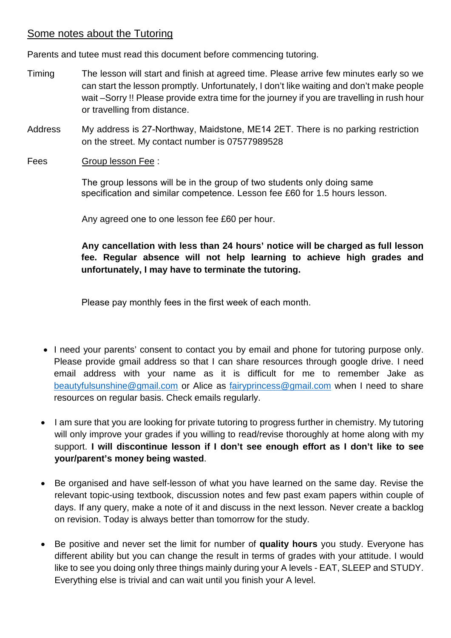## Some notes about the Tutoring

Parents and tutee must read this document before commencing tutoring.

- Timing The lesson will start and finish at agreed time. Please arrive few minutes early so we can start the lesson promptly. Unfortunately, I don't like waiting and don't make people wait –Sorry !! Please provide extra time for the journey if you are travelling in rush hour or travelling from distance.
- **Address** My address is 27-Northway, Maidstone, ME14 2ET. There is no parking restriction on the street. My contact number is 07577989528
- Fees Group lesson Fee :

The group lessons will be in the group of two students only doing same specification and similar competence. Lesson fee £60 for 1.5 hours lesson.

Any agreed one to one lesson fee £60 per hour.

**Any cancellation with less than 24 hours' notice will be charged as full lesson fee. Regular absence will not help learning to achieve high grades and unfortunately, I may have to terminate the tutoring.**

Please pay monthly fees in the first week of each month.

- I need your parents' consent to contact you by email and phone for tutoring purpose only. Please provide gmail address so that I can share resources through google drive. I need email address with your name as it is difficult for me to remember Jake as [beautyfulsunshine@gmail.com](mailto:beautyfulsunshine@gmail.com) or Alice as [fairyprincess@gmail.com](mailto:fairyprincess@gmail.com) when I need to share resources on regular basis. Check emails regularly.
- I am sure that you are looking for private tutoring to progress further in chemistry. My tutoring will only improve your grades if you willing to read/revise thoroughly at home along with my support. **I will discontinue lesson if I don't see enough effort as I don't like to see your/parent's money being wasted**.
- Be organised and have self-lesson of what you have learned on the same day. Revise the relevant topic-using textbook, discussion notes and few past exam papers within couple of days. If any query, make a note of it and discuss in the next lesson. Never create a backlog on revision. Today is always better than tomorrow for the study.
- Be positive and never set the limit for number of **quality hours** you study. Everyone has different ability but you can change the result in terms of grades with your attitude. I would like to see you doing only three things mainly during your A levels - EAT, SLEEP and STUDY. Everything else is trivial and can wait until you finish your A level.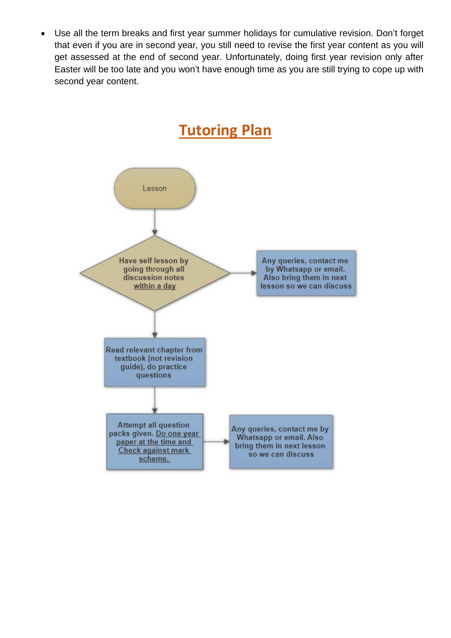• Use all the term breaks and first year summer holidays for cumulative revision. Don't forget that even if you are in second year, you still need to revise the first year content as you will get assessed at the end of second year. Unfortunately, doing first year revision only after Easter will be too late and you won't have enough time as you are still trying to cope up with second year content.

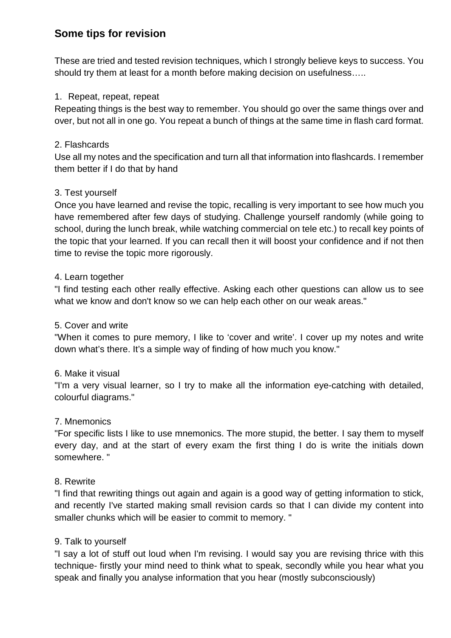## **Some tips for revision**

These are tried and tested revision techniques, which I strongly believe keys to success. You should try them at least for a month before making decision on usefulness…..

#### 1. Repeat, repeat, repeat

Repeating things is the best way to remember. You should go over the same things over and over, but not all in one go. You repeat a bunch of things at the same time in flash card format.

#### 2. Flashcards

Use all my notes and the specification and turn all that information into flashcards. I remember them better if I do that by hand

#### 3. Test yourself

Once you have learned and revise the topic, recalling is very important to see how much you have remembered after few days of studying. Challenge yourself randomly (while going to school, during the lunch break, while watching commercial on tele etc.) to recall key points of the topic that your learned. If you can recall then it will boost your confidence and if not then time to revise the topic more rigorously.

#### 4. Learn together

"I find testing each other really effective. Asking each other questions can allow us to see what we know and don't know so we can help each other on our weak areas."

#### 5. Cover and write

"When it comes to pure memory, I like to 'cover and write'. I cover up my notes and write down what's there. It's a simple way of finding of how much you know."

#### 6. Make it visual

"I'm a very visual learner, so I try to make all the information eye-catching with detailed, colourful diagrams."

#### 7. Mnemonics

"For specific lists I like to use mnemonics. The more stupid, the better. I say them to myself every day, and at the start of every exam the first thing I do is write the initials down somewhere. "

#### 8. Rewrite

"I find that rewriting things out again and again is a good way of getting information to stick, and recently I've started making small revision cards so that I can divide my content into smaller chunks which will be easier to commit to memory. "

#### 9. Talk to yourself

"I say a lot of stuff out loud when I'm revising. I would say you are revising thrice with this technique- firstly your mind need to think what to speak, secondly while you hear what you speak and finally you analyse information that you hear (mostly subconsciously)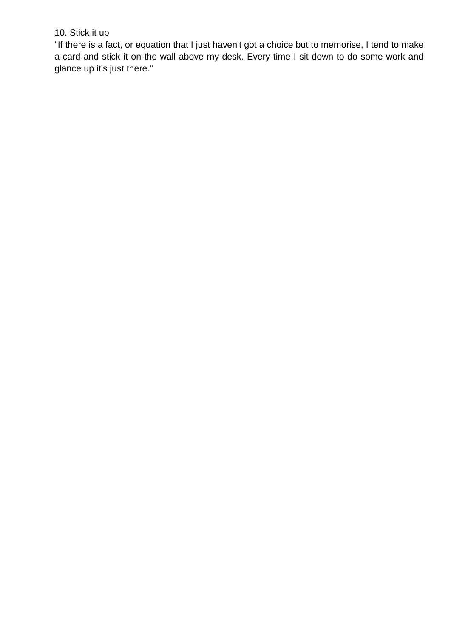## 10. Stick it up

"If there is a fact, or equation that I just haven't got a choice but to memorise, I tend to make a card and stick it on the wall above my desk. Every time I sit down to do some work and glance up it's just there."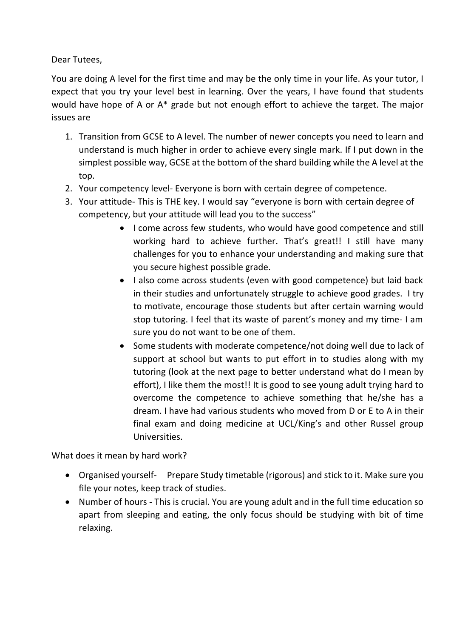Dear Tutees,

You are doing A level for the first time and may be the only time in your life. As your tutor, I expect that you try your level best in learning. Over the years, I have found that students would have hope of A or A\* grade but not enough effort to achieve the target. The major issues are

- 1. Transition from GCSE to A level. The number of newer concepts you need to learn and understand is much higher in order to achieve every single mark. If I put down in the simplest possible way, GCSE at the bottom of the shard building while the A level at the top.
- 2. Your competency level- Everyone is born with certain degree of competence.
- 3. Your attitude- This is THE key. I would say "everyone is born with certain degree of competency, but your attitude will lead you to the success"
	- I come across few students, who would have good competence and still working hard to achieve further. That's great!! I still have many challenges for you to enhance your understanding and making sure that you secure highest possible grade.
	- I also come across students (even with good competence) but laid back in their studies and unfortunately struggle to achieve good grades. I try to motivate, encourage those students but after certain warning would stop tutoring. I feel that its waste of parent's money and my time- I am sure you do not want to be one of them.
	- Some students with moderate competence/not doing well due to lack of support at school but wants to put effort in to studies along with my tutoring (look at the next page to better understand what do I mean by effort), I like them the most!! It is good to see young adult trying hard to overcome the competence to achieve something that he/she has a dream. I have had various students who moved from D or E to A in their final exam and doing medicine at UCL/King's and other Russel group Universities.

What does it mean by hard work?

- Organised yourself- Prepare Study timetable (rigorous) and stick to it. Make sure you file your notes, keep track of studies.
- Number of hours This is crucial. You are young adult and in the full time education so apart from sleeping and eating, the only focus should be studying with bit of time relaxing.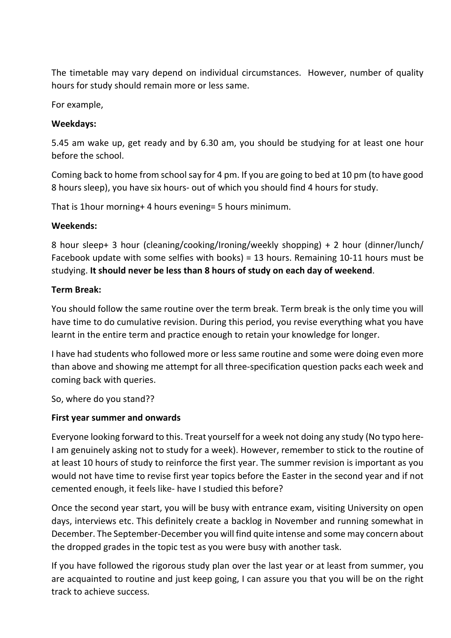The timetable may vary depend on individual circumstances. However, number of quality hours for study should remain more or less same.

For example,

### **Weekdays:**

5.45 am wake up, get ready and by 6.30 am, you should be studying for at least one hour before the school.

Coming back to home from school say for 4 pm. If you are going to bed at 10 pm (to have good 8 hours sleep), you have six hours- out of which you should find 4 hours for study.

That is 1hour morning+ 4 hours evening= 5 hours minimum.

## **Weekends:**

8 hour sleep+ 3 hour (cleaning/cooking/Ironing/weekly shopping) + 2 hour (dinner/lunch/ Facebook update with some selfies with books) = 13 hours. Remaining 10-11 hours must be studying. **It should never be less than 8 hours of study on each day of weekend**.

## **Term Break:**

You should follow the same routine over the term break. Term break is the only time you will have time to do cumulative revision. During this period, you revise everything what you have learnt in the entire term and practice enough to retain your knowledge for longer.

I have had students who followed more or less same routine and some were doing even more than above and showing me attempt for all three-specification question packs each week and coming back with queries.

So, where do you stand??

## **First year summer and onwards**

Everyone looking forward to this. Treat yourself for a week not doing any study (No typo here-I am genuinely asking not to study for a week). However, remember to stick to the routine of at least 10 hours of study to reinforce the first year. The summer revision is important as you would not have time to revise first year topics before the Easter in the second year and if not cemented enough, it feels like- have I studied this before?

Once the second year start, you will be busy with entrance exam, visiting University on open days, interviews etc. This definitely create a backlog in November and running somewhat in December. The September-December you will find quite intense and some may concern about the dropped grades in the topic test as you were busy with another task.

If you have followed the rigorous study plan over the last year or at least from summer, you are acquainted to routine and just keep going, I can assure you that you will be on the right track to achieve success.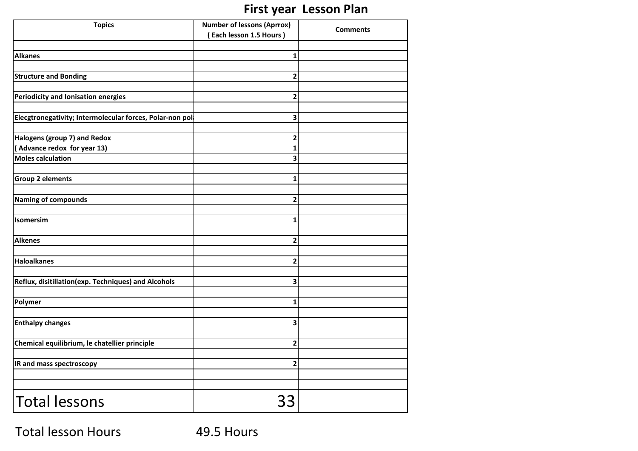## **First year Lesson Plan**

| <b>Topics</b>                                             | <b>Number of lessons (Aprrox)</b> | <b>Comments</b> |
|-----------------------------------------------------------|-----------------------------------|-----------------|
|                                                           | Each lesson 1.5 Hours)            |                 |
|                                                           |                                   |                 |
| <b>Alkanes</b>                                            | $\mathbf{1}$                      |                 |
| <b>Structure and Bonding</b>                              | $\overline{\mathbf{c}}$           |                 |
| <b>Periodicity and Ionisation energies</b>                | $\mathbf{2}$                      |                 |
| Elecgtronegativity; Intermolecular forces, Polar-non pol- | 3                                 |                 |
|                                                           |                                   |                 |
| Halogens (group 7) and Redox                              | 2                                 |                 |
| Advance redox for year 13)<br><b>Moles calculation</b>    | $\mathbf 1$<br>3                  |                 |
|                                                           |                                   |                 |
| <b>Group 2 elements</b>                                   | 1                                 |                 |
| <b>Naming of compounds</b>                                | $\overline{\mathbf{c}}$           |                 |
|                                                           |                                   |                 |
| Isomersim                                                 | $\mathbf{1}$                      |                 |
| <b>Alkenes</b>                                            | $\mathbf{2}$                      |                 |
| <b>Haloalkanes</b>                                        | $\overline{\mathbf{c}}$           |                 |
|                                                           |                                   |                 |
| Reflux, disitillation(exp. Techniques) and Alcohols       | 3                                 |                 |
| Polymer                                                   | 1                                 |                 |
|                                                           | 3                                 |                 |
| <b>Enthalpy changes</b>                                   |                                   |                 |
| Chemical equilibrium, le chatellier principle             | $\overline{\mathbf{c}}$           |                 |
| IR and mass spectroscopy                                  | $\mathbf{2}$                      |                 |
|                                                           |                                   |                 |
| <b>Total lessons</b>                                      | 33                                |                 |